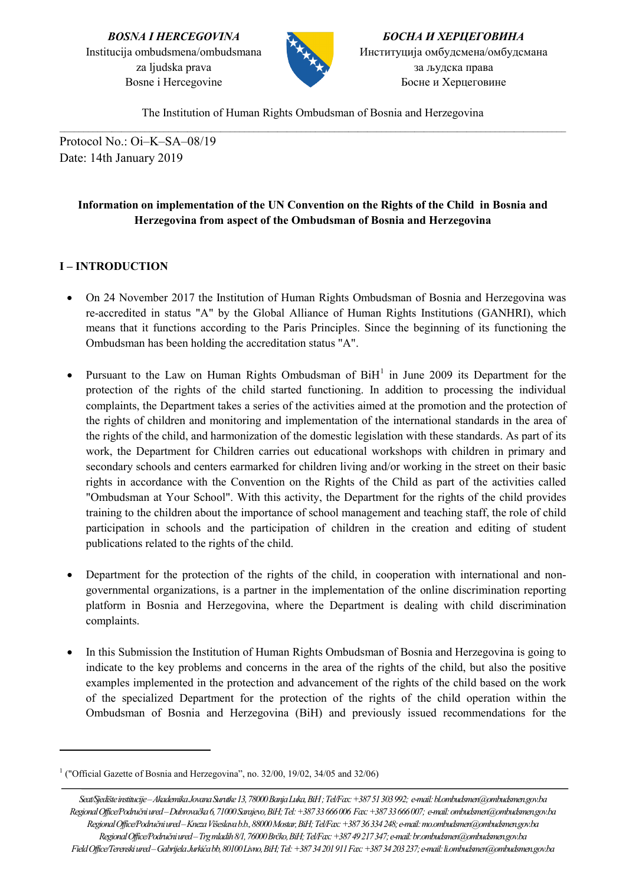

*БОСНА И ХЕРЦЕГОВИНА* Институција омбудсмена/омбудсмана за људска права Босне и Херцеговине

The Institution of Human Rights Ombudsman of Bosnia and Herzegovina  $\_$  ,  $\_$  ,  $\_$  ,  $\_$  ,  $\_$  ,  $\_$  ,  $\_$  ,  $\_$  ,  $\_$  ,  $\_$  ,  $\_$  ,  $\_$  ,  $\_$  ,  $\_$  ,  $\_$  ,  $\_$  ,  $\_$  ,  $\_$  ,  $\_$  ,  $\_$  ,  $\_$  ,  $\_$  ,  $\_$  ,  $\_$  ,  $\_$  ,  $\_$  ,  $\_$  ,  $\_$  ,  $\_$  ,  $\_$  ,  $\_$  ,  $\_$  ,  $\_$  ,  $\_$  ,  $\_$  ,  $\_$  ,  $\_$  ,

Protocol No.: Oi–K–SA–08/19 Date: 14th January 2019

# **Information on implementation of the UN Convention on the Rights of the Child in Bosnia and Herzegovina from aspect of the Ombudsman of Bosnia and Herzegovina**

# **I – INTRODUCTION**

- On 24 November 2017 the Institution of Human Rights Ombudsman of Bosnia and Herzegovina was re-accredited in status "A" by the Global Alliance of Human Rights Institutions (GANHRI), which means that it functions according to the Paris Principles. Since the beginning of its functioning the Ombudsman has been holding the accreditation status "A".
- Pursuant to the Law on Human Rights Ombudsman of  $BiH<sup>1</sup>$  $BiH<sup>1</sup>$  $BiH<sup>1</sup>$  in June 2009 its Department for the protection of the rights of the child started functioning. In addition to processing the individual complaints, the Department takes a series of the activities aimed at the promotion and the protection of the rights of children and monitoring and implementation of the international standards in the area of the rights of the child, and harmonization of the domestic legislation with these standards. As part of its work, the Department for Children carries out educational workshops with children in primary and secondary schools and centers earmarked for children living and/or working in the street on their basic rights in accordance with the Convention on the Rights of the Child as part of the activities called "Ombudsman at Your School". With this activity, the Department for the rights of the child provides training to the children about the importance of school management and teaching staff, the role of child participation in schools and the participation of children in the creation and editing of student publications related to the rights of the child.
- Department for the protection of the rights of the child, in cooperation with international and nongovernmental organizations, is a partner in the implementation of the online discrimination reporting platform in Bosnia and Herzegovina, where the Department is dealing with child discrimination complaints.
- In this Submission the Institution of Human Rights Ombudsman of Bosnia and Herzegovina is going to indicate to the key problems and concerns in the area of the rights of the child, but also the positive examples implemented in the protection and advancement of the rights of the child based on the work of the specialized Department for the protection of the rights of the child operation within the Ombudsman of Bosnia and Herzegovina (BiH) and previously issued recommendations for the

<span id="page-0-0"></span><sup>&</sup>lt;sup>1</sup> ("Official Gazette of Bosnia and Herzegovina", no. 32/00, 19/02, 34/05 and 32/06)

*Seat/Sjedište institucije –Akademika Jovana Surutke 13, 78000 Banja Luka, BiH ; Tel/Fax: +387 51 303 992; e-mail: bl.ombudsmen@ombudsmen.gov.ba Regional Office/Područni ured –Dubrovačka6, 71000 Sarajevo,BiH;Tel: +387 33 666 006 Fax: +387 33 666 007; e-mail: ombudsmen@ombudsmen.gov.ba Regional Office/Područni ured –Kneza Višeslava b.b., 88000 Mostar,BiH;Tel/Fax: +387 36 334 248;e-mail: mo.ombudsmen@ombudsmen.gov.ba Regional Office/Područni ured –Trg mladih 8/1, 76000 Brčko, BiH; Tel/Fax: +387 49 217 347; e-mail: br.ombudsmen@ombudsmen.gov.ba Field Office/Terenski ured –Gabrijela Jurkića bb, 80100 Livno,BiH;Tel: +387 34 201 911 Fax: +387 34 203 237; e-mail: li.ombudsmen@ombudsmen.gov.ba*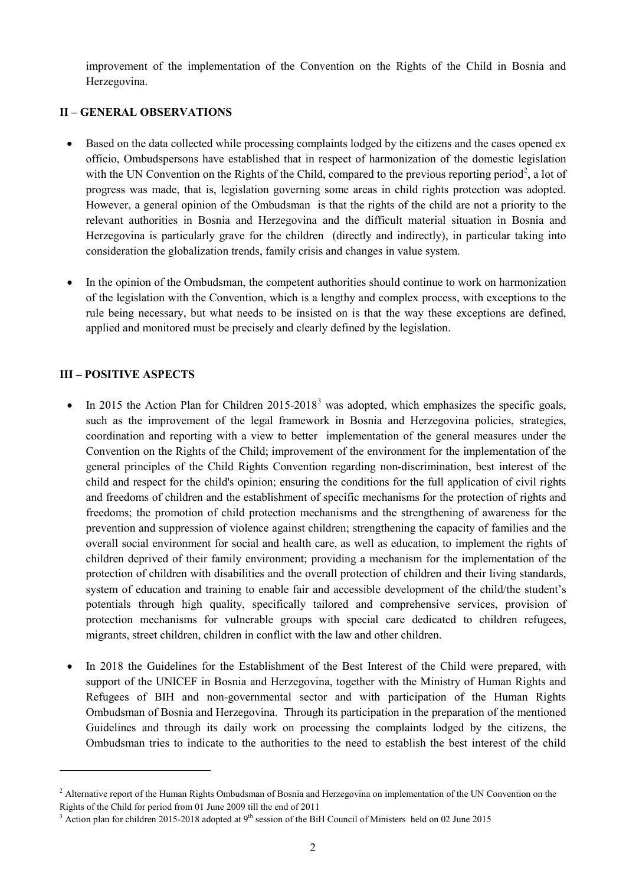improvement of the implementation of the Convention on the Rights of the Child in Bosnia and Herzegovina.

## **II – GENERAL OBSERVATIONS**

- Based on the data collected while processing complaints lodged by the citizens and the cases opened ex officio, Ombudspersons have established that in respect of harmonization of the domestic legislation with the UN Convention on the Rights of the Child, compared to the previous reporting period<sup>[2](#page-1-0)</sup>, a lot of progress was made, that is, legislation governing some areas in child rights protection was adopted. However, a general opinion of the Ombudsman is that the rights of the child are not a priority to the relevant authorities in Bosnia and Herzegovina and the difficult material situation in Bosnia and Herzegovina is particularly grave for the children (directly and indirectly), in particular taking into consideration the globalization trends, family crisis and changes in value system.
- In the opinion of the Ombudsman, the competent authorities should continue to work on harmonization of the legislation with the Convention, which is a lengthy and complex process, with exceptions to the rule being necessary, but what needs to be insisted on is that the way these exceptions are defined, applied and monitored must be precisely and clearly defined by the legislation.

# **III – POSITIVE ASPECTS**

- In 2015 the Action Plan for Children  $2015-2018<sup>3</sup>$  $2015-2018<sup>3</sup>$  $2015-2018<sup>3</sup>$  was adopted, which emphasizes the specific goals, such as the improvement of the legal framework in Bosnia and Herzegovina policies, strategies, coordination and reporting with a view to better implementation of the general measures under the Convention on the Rights of the Child; improvement of the environment for the implementation of the general principles of the Child Rights Convention regarding non-discrimination, best interest of the child and respect for the child's opinion; ensuring the conditions for the full application of civil rights and freedoms of children and the establishment of specific mechanisms for the protection of rights and freedoms; the promotion of child protection mechanisms and the strengthening of awareness for the prevention and suppression of violence against children; strengthening the capacity of families and the overall social environment for social and health care, as well as education, to implement the rights of children deprived of their family environment; providing a mechanism for the implementation of the protection of children with disabilities and the overall protection of children and their living standards, system of education and training to enable fair and accessible development of the child/the student's potentials through high quality, specifically tailored and comprehensive services, provision of protection mechanisms for vulnerable groups with special care dedicated to children refugees, migrants, street children, children in conflict with the law and other children.
- In 2018 the Guidelines for the Establishment of the Best Interest of the Child were prepared, with support of the UNICEF in Bosnia and Herzegovina, together with the Ministry of Human Rights and Refugees of BIH and non-governmental sector and with participation of the Human Rights Ombudsman of Bosnia and Herzegovina. Through its participation in the preparation of the mentioned Guidelines and through its daily work on processing the complaints lodged by the citizens, the Ombudsman tries to indicate to the authorities to the need to establish the best interest of the child

<span id="page-1-0"></span><sup>&</sup>lt;sup>2</sup> Alternative report of the Human Rights Ombudsman of Bosnia and Herzegovina on implementation of the UN Convention on the Rights of the Child for period from 01 June 2009 till the end of 2011

<span id="page-1-1"></span> $3$  Action plan for children 2015-2018 adopted at 9<sup>th</sup> session of the BiH Council of Ministers held on 02 June 2015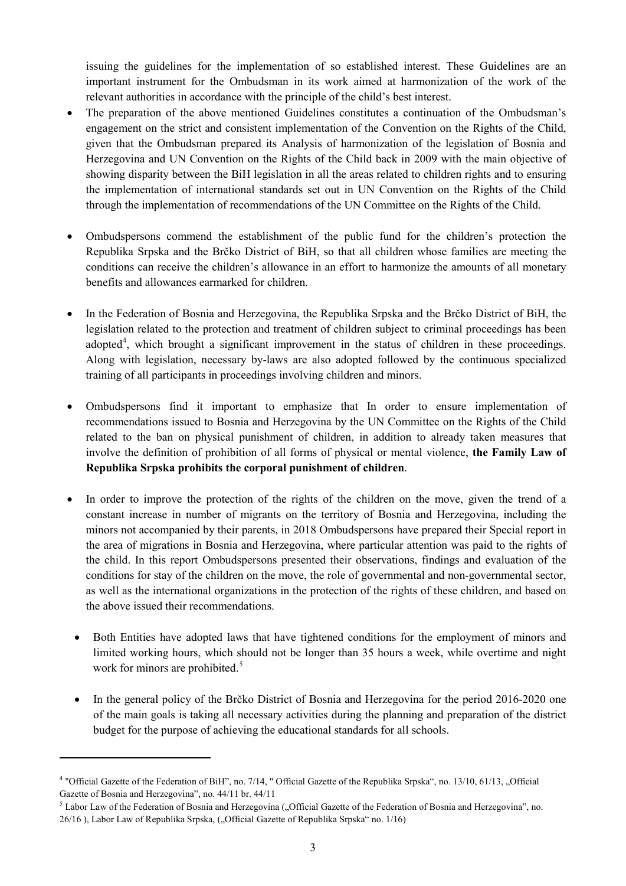issuing the guidelines for the implementation of so established interest. These Guidelines are an important instrument for the Ombudsman in its work aimed at harmonization of the work of the relevant authorities in accordance with the principle of the child's best interest.

- The preparation of the above mentioned Guidelines constitutes a continuation of the Ombudsman's engagement on the strict and consistent implementation of the Convention on the Rights of the Child, given that the Ombudsman prepared its Analysis of harmonization of the legislation of Bosnia and Herzegovina and UN Convention on the Rights of the Child back in 2009 with the main objective of showing disparity between the BiH legislation in all the areas related to children rights and to ensuring the implementation of international standards set out in UN Convention on the Rights of the Child through the implementation of recommendations of the UN Committee on the Rights of the Child.
- Ombudspersons commend the establishment of the public fund for the children's protection the Republika Srpska and the Brčko District of BiH, so that all children whose families are meeting the conditions can receive the children's allowance in an effort to harmonize the amounts of all monetary benefits and allowances earmarked for children.
- In the Federation of Bosnia and Herzegovina, the Republika Srpska and the Brčko District of BiH, the legislation related to the protection and treatment of children subject to criminal proceedings has been adopted<sup>[4](#page-2-0)</sup>, which brought a significant improvement in the status of children in these proceedings. Along with legislation, necessary by-laws are also adopted followed by the continuous specialized training of all participants in proceedings involving children and minors.
- Ombudspersons find it important to emphasize that In order to ensure implementation of recommendations issued to Bosnia and Herzegovina by the UN Committee on the Rights of the Child related to the ban on physical punishment of children, in addition to already taken measures that involve the definition of prohibition of all forms of physical or mental violence, **the Family Law of Republika Srpska prohibits the corporal punishment of children**.
- In order to improve the protection of the rights of the children on the move, given the trend of a constant increase in number of migrants on the territory of Bosnia and Herzegovina, including the minors not accompanied by their parents, in 2018 Ombudspersons have prepared their Special report in the area of migrations in Bosnia and Herzegovina, where particular attention was paid to the rights of the child. In this report Ombudspersons presented their observations, findings and evaluation of the conditions for stay of the children on the move, the role of governmental and non-governmental sector, as well as the international organizations in the protection of the rights of these children, and based on the above issued their recommendations.
- Both Entities have adopted laws that have tightened conditions for the employment of minors and limited working hours, which should not be longer than 35 hours a week, while overtime and night work for minors are prohibited.<sup>[5](#page-2-1)</sup>
- In the general policy of the Brčko District of Bosnia and Herzegovina for the period 2016-2020 one of the main goals is taking all necessary activities during the planning and preparation of the district budget for the purpose of achieving the educational standards for all schools.

<span id="page-2-0"></span><sup>&</sup>lt;sup>4</sup> "Official Gazette of the Federation of BiH", no. 7/14, " Official Gazette of the Republika Srpska", no. 13/10, 61/13, "Official Gazette of Bosnia and Herzegovina", no. 44/11 br. 44/11

<span id="page-2-1"></span> $<sup>5</sup>$  Labor Law of the Federation of Bosnia and Herzegovina ("Official Gazette of the Federation of Bosnia and Herzegovina", no.</sup> 26/16), Labor Law of Republika Srpska, ("Official Gazette of Republika Srpska" no. 1/16)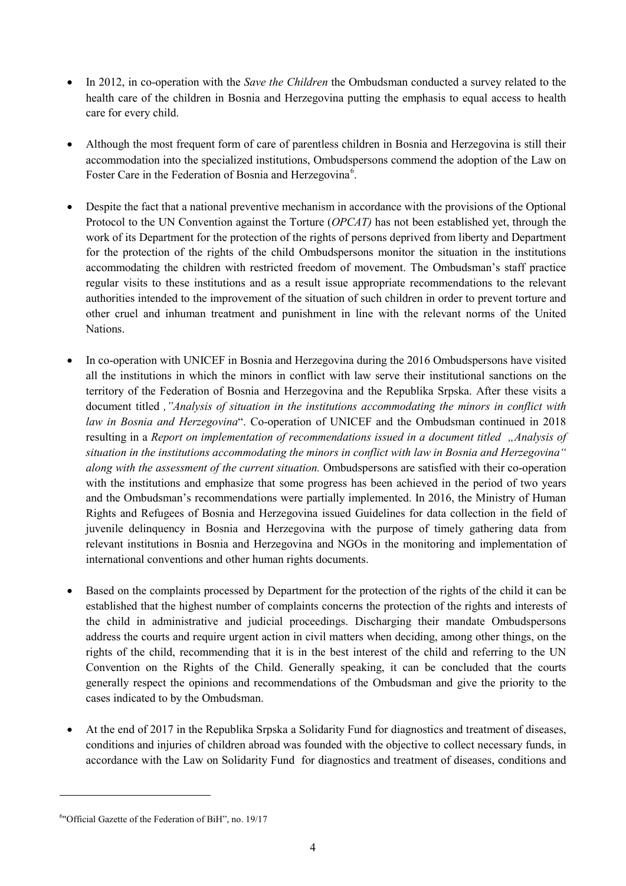- In 2012, in co-operation with the *Save the Children* the Ombudsman conducted a survey related to the health care of the children in Bosnia and Herzegovina putting the emphasis to equal access to health care for every child.
- Although the most frequent form of care of parentless children in Bosnia and Herzegovina is still their accommodation into the specialized institutions, Ombudspersons commend the adoption of the Law on Foster Care in the Federation of Bosnia and Herzegovina<sup>[6](#page-3-0)</sup>.
- Despite the fact that a national preventive mechanism in accordance with the provisions of the Optional Protocol to the UN Convention against the Torture (*OPCAT)* has not been established yet, through the work of its Department for the protection of the rights of persons deprived from liberty and Department for the protection of the rights of the child Ombudspersons monitor the situation in the institutions accommodating the children with restricted freedom of movement. The Ombudsman's staff practice regular visits to these institutions and as a result issue appropriate recommendations to the relevant authorities intended to the improvement of the situation of such children in order to prevent torture and other cruel and inhuman treatment and punishment in line with the relevant norms of the United Nations.
- In co-operation with UNICEF in Bosnia and Herzegovina during the 2016 Ombudspersons have visited all the institutions in which the minors in conflict with law serve their institutional sanctions on the territory of the Federation of Bosnia and Herzegovina and the Republika Srpska. After these visits a document titled *,"Analysis of situation in the institutions accommodating the minors in conflict with law in Bosnia and Herzegovina*". Co-operation of UNICEF and the Ombudsman continued in 2018 resulting in a *Report on implementation of recommendations issued in a document titled "Analysis of situation in the institutions accommodating the minors in conflict with law in Bosnia and Herzegovina" along with the assessment of the current situation.* Ombudspersons are satisfied with their co-operation with the institutions and emphasize that some progress has been achieved in the period of two years and the Ombudsman's recommendations were partially implemented. In 2016, the Ministry of Human Rights and Refugees of Bosnia and Herzegovina issued Guidelines for data collection in the field of juvenile delinquency in Bosnia and Herzegovina with the purpose of timely gathering data from relevant institutions in Bosnia and Herzegovina and NGOs in the monitoring and implementation of international conventions and other human rights documents.
- Based on the complaints processed by Department for the protection of the rights of the child it can be established that the highest number of complaints concerns the protection of the rights and interests of the child in administrative and judicial proceedings. Discharging their mandate Ombudspersons address the courts and require urgent action in civil matters when deciding, among other things, on the rights of the child, recommending that it is in the best interest of the child and referring to the UN Convention on the Rights of the Child. Generally speaking, it can be concluded that the courts generally respect the opinions and recommendations of the Ombudsman and give the priority to the cases indicated to by the Ombudsman.
- At the end of 2017 in the Republika Srpska a Solidarity Fund for diagnostics and treatment of diseases, conditions and injuries of children abroad was founded with the objective to collect necessary funds, in accordance with the Law on Solidarity Fund for diagnostics and treatment of diseases, conditions and

 $\overline{\phantom{a}}$ 

<span id="page-3-0"></span><sup>&</sup>lt;sup>6</sup>"Official Gazette of the Federation of BiH", no. 19/17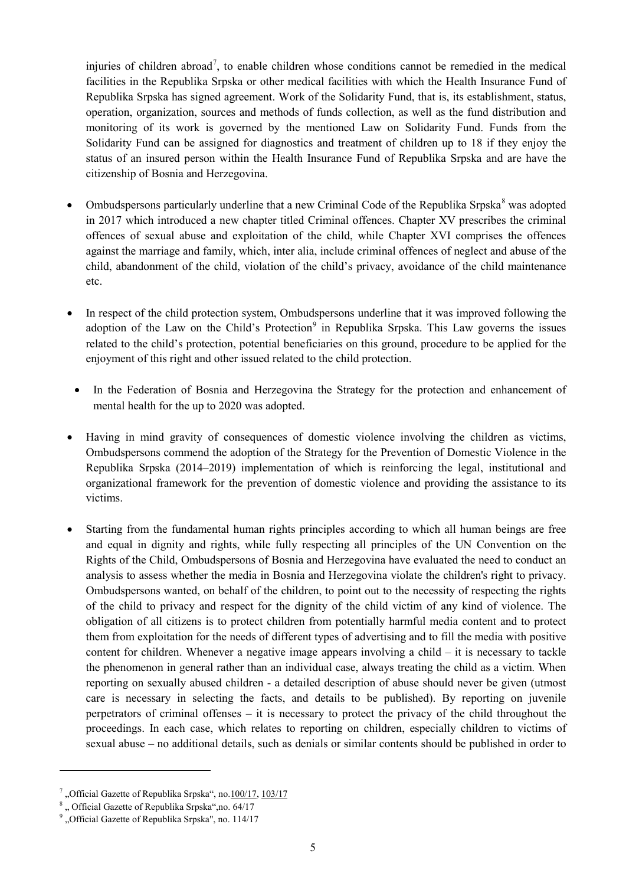injuries of children abroad<sup>[7](#page-4-0)</sup>, to enable children whose conditions cannot be remedied in the medical facilities in the Republika Srpska or other medical facilities with which the Health Insurance Fund of Republika Srpska has signed agreement. Work of the Solidarity Fund, that is, its establishment, status, operation, organization, sources and methods of funds collection, as well as the fund distribution and monitoring of its work is governed by the mentioned Law on Solidarity Fund. Funds from the Solidarity Fund can be assigned for diagnostics and treatment of children up to 18 if they enjoy the status of an insured person within the Health Insurance Fund of Republika Srpska and are have the citizenship of Bosnia and Herzegovina.

- Ombudspersons particularly underline that a new Criminal Code of the Republika Srpska<sup>[8](#page-4-1)</sup> was adopted in 2017 which introduced a new chapter titled Criminal offences. Chapter XV prescribes the criminal offences of sexual abuse and exploitation of the child, while Chapter XVI comprises the offences against the marriage and family, which, inter alia, include criminal offences of neglect and abuse of the child, abandonment of the child, violation of the child's privacy, avoidance of the child maintenance etc.
- In respect of the child protection system, Ombudspersons underline that it was improved following the adoption of the Law on the Child's Protection $9$  in Republika Srpska. This Law governs the issues related to the child's protection, potential beneficiaries on this ground, procedure to be applied for the enjoyment of this right and other issued related to the child protection.
- In the Federation of Bosnia and Herzegovina the Strategy for the protection and enhancement of mental health for the up to 2020 was adopted.
- Having in mind gravity of consequences of domestic violence involving the children as victims, Ombudspersons commend the adoption of the Strategy for the Prevention of Domestic Violence in the Republika Srpska (2014–2019) implementation of which is reinforcing the legal, institutional and organizational framework for the prevention of domestic violence and providing the assistance to its victims.
- Starting from the fundamental human rights principles according to which all human beings are free and equal in dignity and rights, while fully respecting all principles of the UN Convention on the Rights of the Child, Ombudspersons of Bosnia and Herzegovina have evaluated the need to conduct an analysis to assess whether the media in Bosnia and Herzegovina violate the children's right to privacy. Ombudspersons wanted, on behalf of the children, to point out to the necessity of respecting the rights of the child to privacy and respect for the dignity of the child victim of any kind of violence. The obligation of all citizens is to protect children from potentially harmful media content and to protect them from exploitation for the needs of different types of advertising and to fill the media with positive content for children. Whenever a negative image appears involving a child  $-$  it is necessary to tackle the phenomenon in general rather than an individual case, always treating the child as a victim. When reporting on sexually abused children - a detailed description of abuse should never be given (utmost care is necessary in selecting the facts, and details to be published). By reporting on juvenile perpetrators of criminal offenses – it is necessary to protect the privacy of the child throughout the proceedings. In each case, which relates to reporting on children, especially children to victims of sexual abuse – no additional details, such as denials or similar contents should be published in order to

<span id="page-4-0"></span><sup>&</sup>quot;Official Gazette of Republika Srpska", no[.100/17,](https://www.zdravstvo-srpske.org/files/fondsolidarnosti/fond_solidarnosti_zakon.pdf) [103/17](https://www.zdravstvo-srpske.org/files/fondsolidarnosti/Ispravka_Zakona_o_FS_103.pdf)

<span id="page-4-1"></span><sup>&</sup>lt;sup>8</sup> . Official Gazette of Republika Srpska",no. 64/17

<span id="page-4-2"></span><sup>&</sup>lt;sup>9</sup> "Official Gazette of Republika Srpska", no. 114/17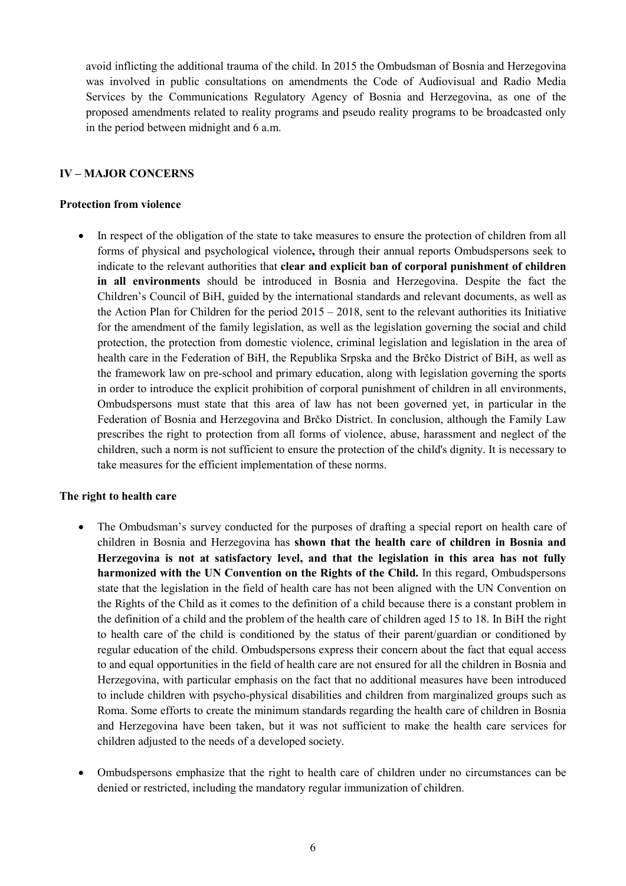avoid inflicting the additional trauma of the child. In 2015 the Ombudsman of Bosnia and Herzegovina was involved in public consultations on amendments the Code of Audiovisual and Radio Media Services by the Communications Regulatory Agency of Bosnia and Herzegovina, as one of the proposed amendments related to reality programs and pseudo reality programs to be broadcasted only in the period between midnight and 6 a.m.

### **IV – MAJOR CONCERNS**

#### **Protection from violence**

In respect of the obligation of the state to take measures to ensure the protection of children from all forms of physical and psychological violence**,** through their annual reports Ombudspersons seek to indicate to the relevant authorities that **clear and explicit ban of corporal punishment of children in all environments** should be introduced in Bosnia and Herzegovina. Despite the fact the Children's Council of BiH, guided by the international standards and relevant documents, as well as the Action Plan for Children for the period  $2015 - 2018$ , sent to the relevant authorities its Initiative for the amendment of the family legislation, as well as the legislation governing the social and child protection, the protection from domestic violence, criminal legislation and legislation in the area of health care in the Federation of BiH, the Republika Srpska and the Brčko District of BiH, as well as the framework law on pre-school and primary education, along with legislation governing the sports in order to introduce the explicit prohibition of corporal punishment of children in all environments, Ombudspersons must state that this area of law has not been governed yet, in particular in the Federation of Bosnia and Herzegovina and Brčko District. In conclusion, although the Family Law prescribes the right to protection from all forms of violence, abuse, harassment and neglect of the children, such a norm is not sufficient to ensure the protection of the child's dignity. It is necessary to take measures for the efficient implementation of these norms.

#### **The right to health care**

- The Ombudsman's survey conducted for the purposes of drafting a special report on health care of children in Bosnia and Herzegovina has **shown that the health care of children in Bosnia and Herzegovina is not at satisfactory level, and that the legislation in this area has not fully harmonized with the UN Convention on the Rights of the Child.** In this regard, Ombudspersons state that the legislation in the field of health care has not been aligned with the UN Convention on the Rights of the Child as it comes to the definition of a child because there is a constant problem in the definition of a child and the problem of the health care of children aged 15 to 18. In BiH the right to health care of the child is conditioned by the status of their parent/guardian or conditioned by regular education of the child. Ombudspersons express their concern about the fact that equal access to and equal opportunities in the field of health care are not ensured for all the children in Bosnia and Herzegovina, with particular emphasis on the fact that no additional measures have been introduced to include children with psycho-physical disabilities and children from marginalized groups such as Roma. Some efforts to create the minimum standards regarding the health care of children in Bosnia and Herzegovina have been taken, but it was not sufficient to make the health care services for children adjusted to the needs of a developed society.
- Ombudspersons emphasize that the right to health care of children under no circumstances can be denied or restricted, including the mandatory regular immunization of children.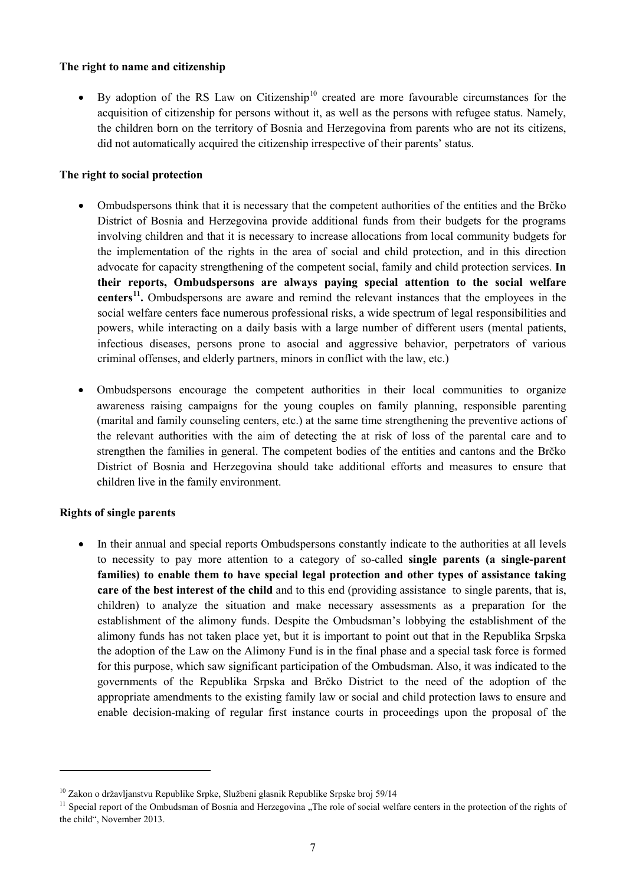### **The right to name and citizenship**

• By adoption of the RS Law on Citizenship<sup>[10](#page-6-0)</sup> created are more favourable circumstances for the acquisition of citizenship for persons without it, as well as the persons with refugee status. Namely, the children born on the territory of Bosnia and Herzegovina from parents who are not its citizens, did not automatically acquired the citizenship irrespective of their parents' status.

### **The right to social protection**

- Ombudspersons think that it is necessary that the competent authorities of the entities and the Brčko District of Bosnia and Herzegovina provide additional funds from their budgets for the programs involving children and that it is necessary to increase allocations from local community budgets for the implementation of the rights in the area of social and child protection, and in this direction advocate for capacity strengthening of the competent social, family and child protection services. **In their reports, Ombudspersons are always paying special attention to the social welfare centers[11.](#page-6-1)** Ombudspersons are aware and remind the relevant instances that the employees in the social welfare centers face numerous professional risks, a wide spectrum of legal responsibilities and powers, while interacting on a daily basis with a large number of different users (mental patients, infectious diseases, persons prone to asocial and aggressive behavior, perpetrators of various criminal offenses, and elderly partners, minors in conflict with the law, etc.)
- Ombudspersons encourage the competent authorities in their local communities to organize awareness raising campaigns for the young couples on family planning, responsible parenting (marital and family counseling centers, etc.) at the same time strengthening the preventive actions of the relevant authorities with the aim of detecting the at risk of loss of the parental care and to strengthen the families in general. The competent bodies of the entities and cantons and the Brčko District of Bosnia and Herzegovina should take additional efforts and measures to ensure that children live in the family environment.

### **Rights of single parents**

**.** 

• In their annual and special reports Ombudspersons constantly indicate to the authorities at all levels to necessity to pay more attention to a category of so-called **single parents (a single-parent families) to enable them to have special legal protection and other types of assistance taking care of the best interest of the child** and to this end (providing assistance to single parents, that is, children) to analyze the situation and make necessary assessments as a preparation for the establishment of the alimony funds. Despite the Ombudsman's lobbying the establishment of the alimony funds has not taken place yet, but it is important to point out that in the Republika Srpska the adoption of the Law on the Alimony Fund is in the final phase and a special task force is formed for this purpose, which saw significant participation of the Ombudsman. Also, it was indicated to the governments of the Republika Srpska and Brčko District to the need of the adoption of the appropriate amendments to the existing family law or social and child protection laws to ensure and enable decision-making of regular first instance courts in proceedings upon the proposal of the

<span id="page-6-0"></span><sup>&</sup>lt;sup>10</sup> Zakon o državljanstvu Republike Srpke, Službeni glasnik Republike Srpske broj 59/14

<span id="page-6-1"></span> $<sup>11</sup>$  Special report of the Ombudsman of Bosnia and Herzegovina . The role of social welfare centers in the protection of the rights of</sup> the child", November 2013.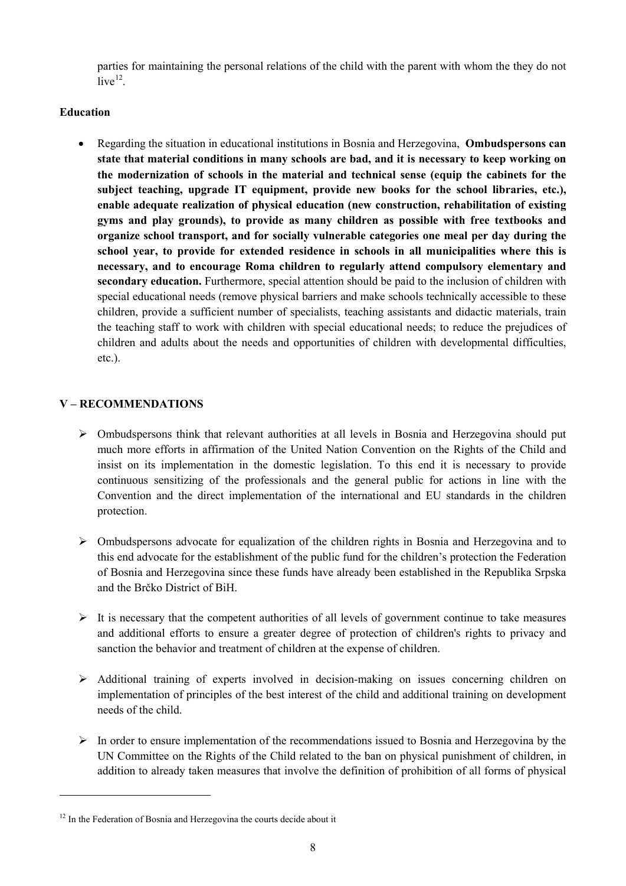parties for maintaining the personal relations of the child with the parent with whom the they do not  $live<sup>12</sup>$ .

## **Education**

• Regarding the situation in educational institutions in Bosnia and Herzegovina, **Ombudspersons can state that material conditions in many schools are bad, and it is necessary to keep working on the modernization of schools in the material and technical sense (equip the cabinets for the subject teaching, upgrade IT equipment, provide new books for the school libraries, etc.), enable adequate realization of physical education (new construction, rehabilitation of existing gyms and play grounds), to provide as many children as possible with free textbooks and organize school transport, and for socially vulnerable categories one meal per day during the school year, to provide for extended residence in schools in all municipalities where this is necessary, and to encourage Roma children to regularly attend compulsory elementary and secondary education.** Furthermore, special attention should be paid to the inclusion of children with special educational needs (remove physical barriers and make schools technically accessible to these children, provide a sufficient number of specialists, teaching assistants and didactic materials, train the teaching staff to work with children with special educational needs; to reduce the prejudices of children and adults about the needs and opportunities of children with developmental difficulties, etc.).

# **V – RECOMMENDATIONS**

- $\triangleright$  Ombudspersons think that relevant authorities at all levels in Bosnia and Herzegovina should put much more efforts in affirmation of the United Nation Convention on the Rights of the Child and insist on its implementation in the domestic legislation. To this end it is necessary to provide continuous sensitizing of the professionals and the general public for actions in line with the Convention and the direct implementation of the international and EU standards in the children protection.
- $\triangleright$  Ombudspersons advocate for equalization of the children rights in Bosnia and Herzegovina and to this end advocate for the establishment of the public fund for the children's protection the Federation of Bosnia and Herzegovina since these funds have already been established in the Republika Srpska and the Brčko District of BiH.
- $\triangleright$  It is necessary that the competent authorities of all levels of government continue to take measures and additional efforts to ensure a greater degree of protection of children's rights to privacy and sanction the behavior and treatment of children at the expense of children.
- $\triangleright$  Additional training of experts involved in decision-making on issues concerning children on implementation of principles of the best interest of the child and additional training on development needs of the child.
- $\triangleright$  In order to ensure implementation of the recommendations issued to Bosnia and Herzegovina by the UN Committee on the Rights of the Child related to the ban on physical punishment of children, in addition to already taken measures that involve the definition of prohibition of all forms of physical

 $\overline{\phantom{a}}$ 

<span id="page-7-0"></span> $12$  In the Federation of Bosnia and Herzegovina the courts decide about it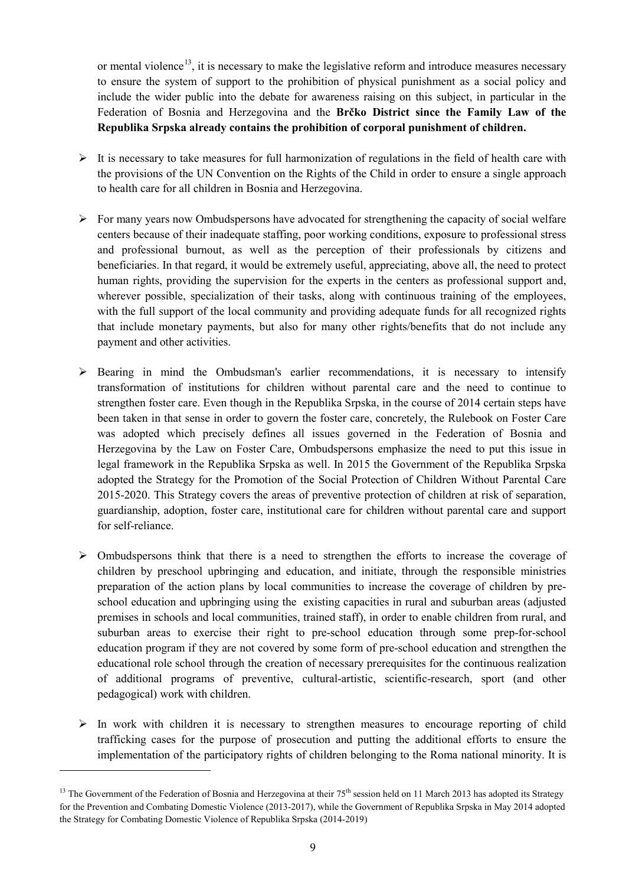or mental violence<sup>[13](#page-8-0)</sup>, it is necessary to make the legislative reform and introduce measures necessary to ensure the system of support to the prohibition of physical punishment as a social policy and include the wider public into the debate for awareness raising on this subject, in particular in the Federation of Bosnia and Herzegovina and the **Brčko District since the Family Law of the Republika Srpska already contains the prohibition of corporal punishment of children.** 

- $\triangleright$  It is necessary to take measures for full harmonization of regulations in the field of health care with the provisions of the UN Convention on the Rights of the Child in order to ensure a single approach to health care for all children in Bosnia and Herzegovina.
- $\triangleright$  For many years now Ombudspersons have advocated for strengthening the capacity of social welfare centers because of their inadequate staffing, poor working conditions, exposure to professional stress and professional burnout, as well as the perception of their professionals by citizens and beneficiaries. In that regard, it would be extremely useful, appreciating, above all, the need to protect human rights, providing the supervision for the experts in the centers as professional support and, wherever possible, specialization of their tasks, along with continuous training of the employees, with the full support of the local community and providing adequate funds for all recognized rights that include monetary payments, but also for many other rights/benefits that do not include any payment and other activities.
- $\triangleright$  Bearing in mind the Ombudsman's earlier recommendations, it is necessary to intensify transformation of institutions for children without parental care and the need to continue to strengthen foster care. Even though in the Republika Srpska, in the course of 2014 certain steps have been taken in that sense in order to govern the foster care, concretely, the Rulebook on Foster Care was adopted which precisely defines all issues governed in the Federation of Bosnia and Herzegovina by the Law on Foster Care, Ombudspersons emphasize the need to put this issue in legal framework in the Republika Srpska as well. In 2015 the Government of the Republika Srpska adopted the Strategy for the Promotion of the Social Protection of Children Without Parental Care 2015-2020. This Strategy covers the areas of preventive protection of children at risk of separation, guardianship, adoption, foster care, institutional care for children without parental care and support for self-reliance.
- $\triangleright$  Ombudspersons think that there is a need to strengthen the efforts to increase the coverage of children by preschool upbringing and education, and initiate, through the responsible ministries preparation of the action plans by local communities to increase the coverage of children by preschool education and upbringing using the existing capacities in rural and suburban areas (adjusted premises in schools and local communities, trained staff), in order to enable children from rural, and suburban areas to exercise their right to pre-school education through some prep-for-school education program if they are not covered by some form of pre-school education and strengthen the educational role school through the creation of necessary prerequisites for the continuous realization of additional programs of preventive, cultural-artistic, scientific-research, sport (and other pedagogical) work with children.
- $\triangleright$  In work with children it is necessary to strengthen measures to encourage reporting of child trafficking cases for the purpose of prosecution and putting the additional efforts to ensure the implementation of the participatory rights of children belonging to the Roma national minority. It is

<span id="page-8-0"></span><sup>&</sup>lt;sup>13</sup> The Government of the Federation of Bosnia and Herzegovina at their  $75<sup>th</sup>$  session held on 11 March 2013 has adopted its Strategy for the Prevention and Combating Domestic Violence (2013-2017), while the Government of Republika Srpska in May 2014 adopted the Strategy for Combating Domestic Violence of Republika Srpska (2014-2019)